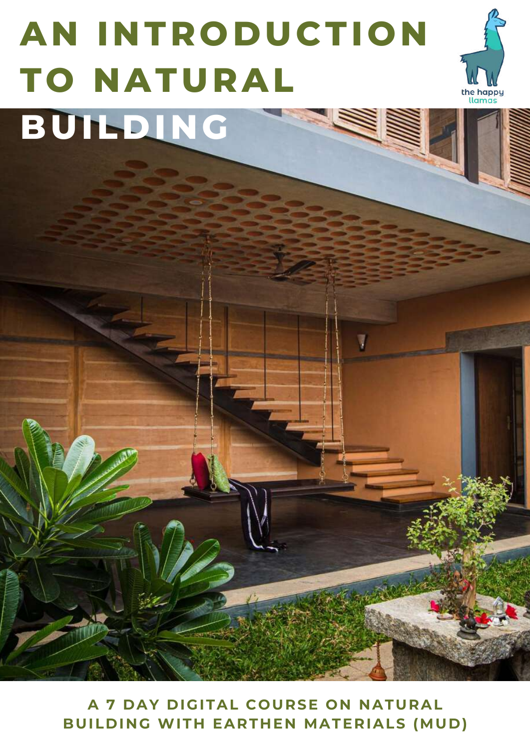# **AN INTRODUCTION TO NATURAL BUILDING**



**A 7 DAY DIGITAL COURSE ON NATURAL BUILDING WITH EARTHEN MATERIALS (MUD)**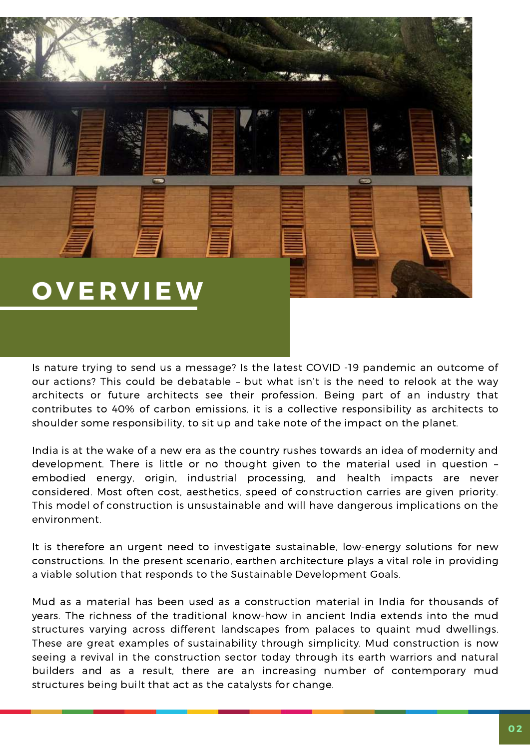## **O V E R V IEW**

Is nature trying to send us a message? Is the latest COVID -19 pandemic an outcome of our actions? This could be debatable – but what isn't is the need to relook at the way architects or future architects see their profession. Being part of an industry that contributes to 40% of carbon emissions, it is a collective responsibility as architects to shoulder some responsibility, to sit up and take note of the impact on the planet.

India is at the wake of a new era as the country rushes towards an idea of modernity and development. There is little or no thought given to the material used in question – embodied energy, origin, industrial processing, and health impacts are never considered. Most often cost, aesthetics, speed of construction carries are given priority. This model of construction is unsustainable and will have dangerous implications on the environment.

It is therefore an urgent need to investigate sustainable, low-energy solutions for new constructions. In the present scenario, earthen architecture plays a vital role in providing a viable solution that responds to the Sustainable Development Goals.

Mud as a material has been used as a construction material in India for thousands of years. The richness of the traditional know-how in ancient India extends into the mud structures varying across different landscapes from palaces to quaint mud dwellings. These are great examples of sustainability through simplicity. Mud construction is now seeing a revival in the construction sector today through its earth warriors and natural builders and as a result, there are an increasing number of contemporary mud structures being built that act as the catalysts for change.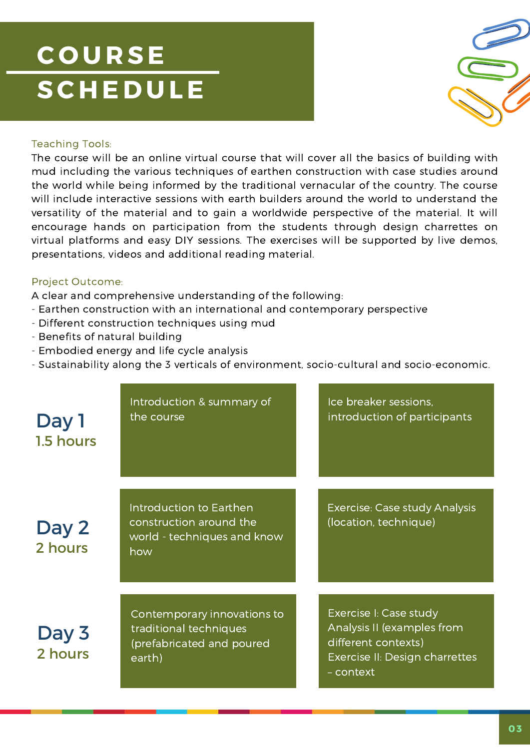## **C O U R SE**  $S$  **CHEDULE**



### Teaching Tools:

mud including the various techniques of earthen construction with case studies around The course will be an online virtual course that will cover all the basics of building with the world while being informed by the traditional vernacular of the country. The course will include interactive sessions with earth builders around the world to understand the versatility of the material and to gain a worldwide perspective of the material. It will encourage hands on participation from the students through design charrettes on virtual platforms and easy DIY sessions. The exercises will be supported by live demos, presentations, videos and additional reading material.

### Project Outcome:

A clear and comprehensive understanding of the following:

- Earthen construction with an international and contemporary perspective
- Different construction techniques using mud
- Benefits of natural building
- Embodied energy and life cycle analysis
- Sustainability along the 3 verticals of environment, socio-cultural and socio-economic.

| Day 1<br>1.5 hours | Introduction & summary of<br>the course                                                      | Ice breaker sessions,<br>introduction of participants                                                                      |
|--------------------|----------------------------------------------------------------------------------------------|----------------------------------------------------------------------------------------------------------------------------|
| Day 2<br>2 hours   | Introduction to Earthen<br>construction around the<br>world - techniques and know<br>how     | <b>Exercise: Case study Analysis</b><br>(location, technique)                                                              |
| Day 3<br>2 hours   | Contemporary innovations to<br>traditional techniques<br>(prefabricated and poured<br>earth) | Exercise I: Case study<br>Analysis II (examples from<br>different contexts)<br>Exercise II: Design charrettes<br>- context |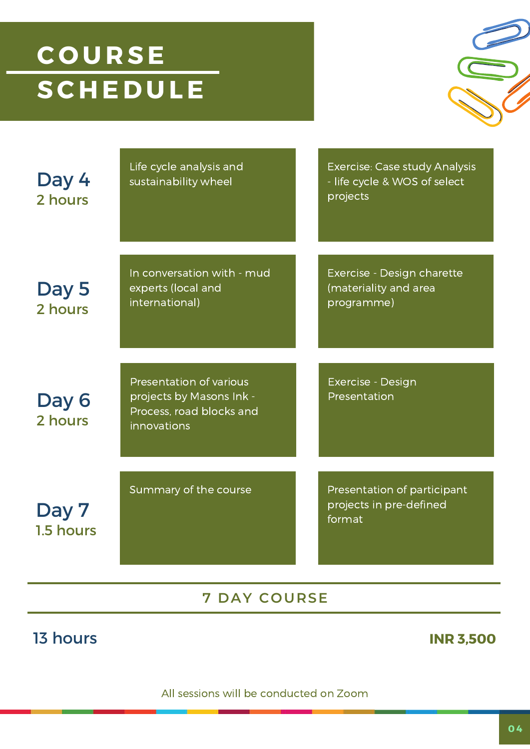## **C O U R SE SC H E D U LE**



Life cycle analysis and sustainability wheel Exercise: Case study Analysis - life cycle & WOS of select projects In conversation with - mud experts (local and international) Exercise - Design charette (materiality and area programme) Presentation of various projects by Masons Ink - Process, road blocks and innovations Exercise - Design Presentation Summary of the course **Presentation of participant** projects in pre-defined **Day 7** and the contract of the contract of the contract of the contract of the contract of the contract of the contract of the contract of the contract of the contract of the contract of the contract of the contract of th 1.5 hours Day 6 2 hours Day 5 2 hours Day 4 2 hours

### **7 DAY COURSE**

### 13 hours **INR 3,500**

All sessions will be conducted on Zoom